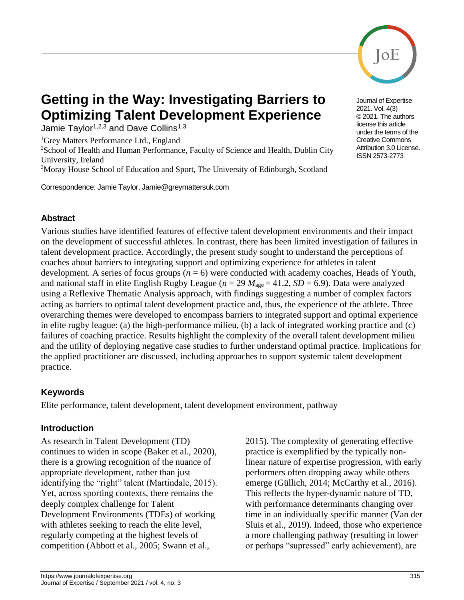

# **Getting in the Way: Investigating Barriers to Optimizing Talent Development Experience**

Jamie Taylor<sup>1,2,3</sup> and Dave Collins<sup>1,3</sup>

<sup>1</sup>Grey Matters Performance Ltd., England

<sup>2</sup>School of Health and Human Performance, Faculty of Science and Health, Dublin City University, Ireland

<sup>3</sup>Moray House School of Education and Sport, The University of Edinburgh, Scotland

Correspondence: Jamie Taylor, Jamie@greymattersuk.com

# **Abstract**

Various studies have identified features of effective talent development environments and their impact on the development of successful athletes. In contrast, there has been limited investigation of failures in talent development practice. Accordingly, the present study sought to understand the perceptions of coaches about barriers to integrating support and optimizing experience for athletes in talent development. A series of focus groups (*n* = 6) were conducted with academy coaches, Heads of Youth, and national staff in elite English Rugby League ( $n = 29$   $M_{\text{age}} = 41.2$ ,  $SD = 6.9$ ). Data were analyzed using a Reflexive Thematic Analysis approach, with findings suggesting a number of complex factors acting as barriers to optimal talent development practice and, thus, the experience of the athlete. Three overarching themes were developed to encompass barriers to integrated support and optimal experience in elite rugby league: (a) the high-performance milieu, (b) a lack of integrated working practice and (c) failures of coaching practice. Results highlight the complexity of the overall talent development milieu and the utility of deploying negative case studies to further understand optimal practice. Implications for the applied practitioner are discussed, including approaches to support systemic talent development practice.

# **Keywords**

Elite performance, talent development, talent development environment, pathway

# **Introduction**

As research in Talent Development (TD) continues to widen in scope (Baker et al., 2020), there is a growing recognition of the nuance of appropriate development, rather than just identifying the "right" talent (Martindale, 2015). Yet, across sporting contexts, there remains the deeply complex challenge for Talent Development Environments (TDEs) of working with athletes seeking to reach the elite level, regularly competing at the highest levels of competition (Abbott et al., 2005; Swann et al.,

2015). The complexity of generating effective practice is exemplified by the typically nonlinear nature of expertise progression, with early performers often dropping away while others emerge (Güllich, 2014; McCarthy et al., 2016). This reflects the hyper-dynamic nature of TD, with performance determinants changing over time in an individually specific manner (Van der Sluis et al., 2019). Indeed, those who experience a more challenging pathway (resulting in lower or perhaps "supressed" early achievement), are



Journal of Expertise 2021. Vol. 4(3) © 2021. The authors license this article under the terms of the Creative Commons Attribution 3.0 License. ISSN 2573-2773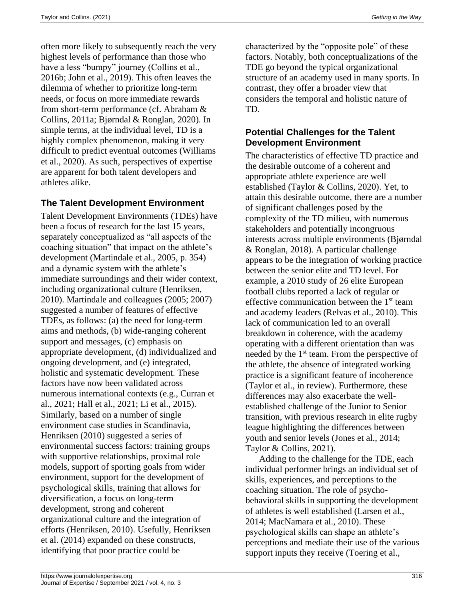often more likely to subsequently reach the very highest levels of performance than those who have a less "bumpy" journey (Collins et al., 2016b; John et al., 2019). This often leaves the dilemma of whether to prioritize long-term needs, or focus on more immediate rewards from short-term performance (cf. Abraham & Collins, 2011a; Bjørndal & Ronglan, 2020). In simple terms, at the individual level, TD is a highly complex phenomenon, making it very difficult to predict eventual outcomes (Williams et al., 2020). As such, perspectives of expertise are apparent for both talent developers and athletes alike.

# **The Talent Development Environment**

Talent Development Environments (TDEs) have been a focus of research for the last 15 years, separately conceptualized as "all aspects of the coaching situation" that impact on the athlete's development (Martindale et al., 2005, p. 354) and a dynamic system with the athlete's immediate surroundings and their wider context, including organizational culture (Henriksen, 2010). Martindale and colleagues (2005; 2007) suggested a number of features of effective TDEs, as follows: (a) the need for long-term aims and methods, (b) wide-ranging coherent support and messages, (c) emphasis on appropriate development, (d) individualized and ongoing development, and (e) integrated, holistic and systematic development. These factors have now been validated across numerous international contexts (e.g., Curran et al., 2021; Hall et al., 2021; Li et al., 2015). Similarly, based on a number of single environment case studies in Scandinavia, Henriksen (2010) suggested a series of environmental success factors: training groups with supportive relationships, proximal role models, support of sporting goals from wider environment, support for the development of psychological skills, training that allows for diversification, a focus on long-term development, strong and coherent organizational culture and the integration of efforts (Henriksen, 2010). Usefully, Henriksen et al. (2014) expanded on these constructs, identifying that poor practice could be

characterized by the "opposite pole" of these factors. Notably, both conceptualizations of the TDE go beyond the typical organizational structure of an academy used in many sports. In contrast, they offer a broader view that considers the temporal and holistic nature of TD.

# **Potential Challenges for the Talent Development Environment**

The characteristics of effective TD practice and the desirable outcome of a coherent and appropriate athlete experience are well established (Taylor & Collins, 2020). Yet, to attain this desirable outcome, there are a number of significant challenges posed by the complexity of the TD milieu, with numerous stakeholders and potentially incongruous interests across multiple environments (Bjørndal & Ronglan, 2018). A particular challenge appears to be the integration of working practice between the senior elite and TD level. For example, a 2010 study of 26 elite European football clubs reported a lack of regular or effective communication between the  $1<sup>st</sup>$  team and academy leaders (Relvas et al., 2010). This lack of communication led to an overall breakdown in coherence, with the academy operating with a different orientation than was needed by the  $1<sup>st</sup>$  team. From the perspective of the athlete, the absence of integrated working practice is a significant feature of incoherence (Taylor et al., in review). Furthermore, these differences may also exacerbate the wellestablished challenge of the Junior to Senior transition, with previous research in elite rugby league highlighting the differences between youth and senior levels (Jones et al., 2014; Taylor & Collins, 2021).

Adding to the challenge for the TDE, each individual performer brings an individual set of skills, experiences, and perceptions to the coaching situation. The role of psychobehavioral skills in supporting the development of athletes is well established (Larsen et al., 2014; MacNamara et al., 2010). These psychological skills can shape an athlete's perceptions and mediate their use of the various support inputs they receive (Toering et al.,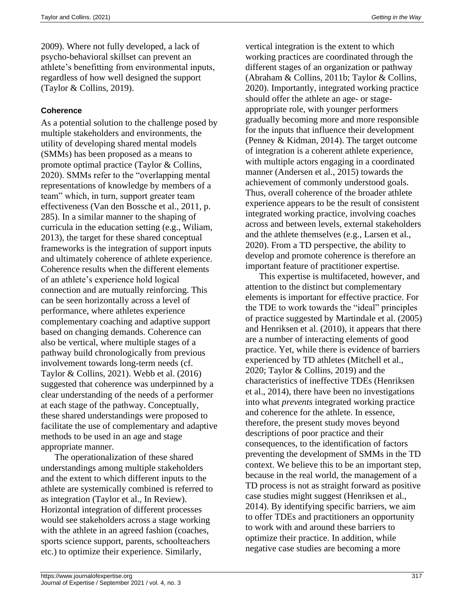2009). Where not fully developed, a lack of psycho-behavioral skillset can prevent an athlete's benefitting from environmental inputs, regardless of how well designed the support (Taylor & Collins, 2019).

## **Coherence**

As a potential solution to the challenge posed by multiple stakeholders and environments, the utility of developing shared mental models (SMMs) has been proposed as a means to promote optimal practice (Taylor & Collins, 2020). SMMs refer to the "overlapping mental representations of knowledge by members of a team" which, in turn, support greater team effectiveness (Van den Bossche et al., 2011, p. 285). In a similar manner to the shaping of curricula in the education setting (e.g., Wiliam, 2013), the target for these shared conceptual frameworks is the integration of support inputs and ultimately coherence of athlete experience. Coherence results when the different elements of an athlete's experience hold logical connection and are mutually reinforcing. This can be seen horizontally across a level of performance, where athletes experience complementary coaching and adaptive support based on changing demands. Coherence can also be vertical, where multiple stages of a pathway build chronologically from previous involvement towards long-term needs (cf. Taylor & Collins, 2021). Webb et al. (2016) suggested that coherence was underpinned by a clear understanding of the needs of a performer at each stage of the pathway. Conceptually, these shared understandings were proposed to facilitate the use of complementary and adaptive methods to be used in an age and stage appropriate manner.

The operationalization of these shared understandings among multiple stakeholders and the extent to which different inputs to the athlete are systemically combined is referred to as integration (Taylor et al., In Review). Horizontal integration of different processes would see stakeholders across a stage working with the athlete in an agreed fashion (coaches, sports science support, parents, schoolteachers etc.) to optimize their experience. Similarly,

vertical integration is the extent to which working practices are coordinated through the different stages of an organization or pathway (Abraham & Collins, 2011b; Taylor & Collins, 2020). Importantly, integrated working practice should offer the athlete an age- or stageappropriate role, with younger performers gradually becoming more and more responsible for the inputs that influence their development (Penney & Kidman, 2014). The target outcome of integration is a coherent athlete experience, with multiple actors engaging in a coordinated manner (Andersen et al., 2015) towards the achievement of commonly understood goals. Thus, overall coherence of the broader athlete experience appears to be the result of consistent integrated working practice, involving coaches across and between levels, external stakeholders and the athlete themselves (e.g., Larsen et al., 2020). From a TD perspective, the ability to develop and promote coherence is therefore an important feature of practitioner expertise.

This expertise is multifaceted, however, and attention to the distinct but complementary elements is important for effective practice. For the TDE to work towards the "ideal" principles of practice suggested by Martindale et al. (2005) and Henriksen et al. (2010), it appears that there are a number of interacting elements of good practice. Yet, while there is evidence of barriers experienced by TD athletes (Mitchell et al., 2020; Taylor & Collins, 2019) and the characteristics of ineffective TDEs (Henriksen et al., 2014), there have been no investigations into what *prevents* integrated working practice and coherence for the athlete. In essence, therefore, the present study moves beyond descriptions of poor practice and their consequences, to the identification of factors preventing the development of SMMs in the TD context. We believe this to be an important step, because in the real world, the management of a TD process is not as straight forward as positive case studies might suggest (Henriksen et al., 2014). By identifying specific barriers, we aim to offer TDEs and practitioners an opportunity to work with and around these barriers to optimize their practice. In addition, while negative case studies are becoming a more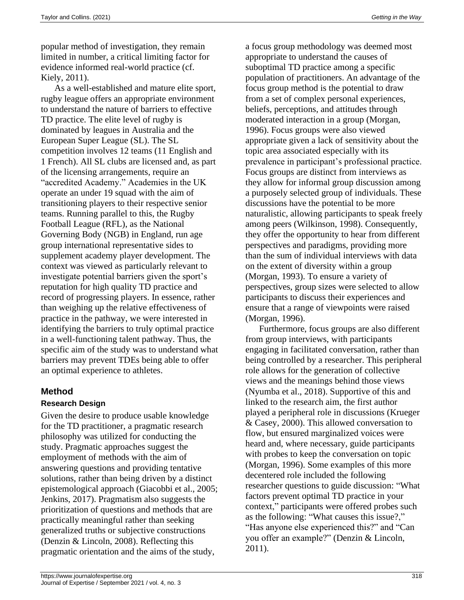popular method of investigation, they remain limited in number, a critical limiting factor for evidence informed real-world practice (cf. Kiely, 2011).

As a well-established and mature elite sport, rugby league offers an appropriate environment to understand the nature of barriers to effective TD practice. The elite level of rugby is dominated by leagues in Australia and the European Super League (SL). The SL competition involves 12 teams (11 English and 1 French). All SL clubs are licensed and, as part of the licensing arrangements, require an "accredited Academy." Academies in the UK operate an under 19 squad with the aim of transitioning players to their respective senior teams. Running parallel to this, the Rugby Football League (RFL), as the National Governing Body (NGB) in England, run age group international representative sides to supplement academy player development. The context was viewed as particularly relevant to investigate potential barriers given the sport's reputation for high quality TD practice and record of progressing players. In essence, rather than weighing up the relative effectiveness of practice in the pathway, we were interested in identifying the barriers to truly optimal practice in a well-functioning talent pathway. Thus, the specific aim of the study was to understand what barriers may prevent TDEs being able to offer an optimal experience to athletes.

## **Method**

## **Research Design**

Given the desire to produce usable knowledge for the TD practitioner, a pragmatic research philosophy was utilized for conducting the study. Pragmatic approaches suggest the employment of methods with the aim of answering questions and providing tentative solutions, rather than being driven by a distinct epistemological approach (Giacobbi et al., 2005; Jenkins, 2017). Pragmatism also suggests the prioritization of questions and methods that are practically meaningful rather than seeking generalized truths or subjective constructions (Denzin & Lincoln, 2008). Reflecting this pragmatic orientation and the aims of the study,

a focus group methodology was deemed most appropriate to understand the causes of suboptimal TD practice among a specific population of practitioners. An advantage of the focus group method is the potential to draw from a set of complex personal experiences, beliefs, perceptions, and attitudes through moderated interaction in a group (Morgan, 1996). Focus groups were also viewed appropriate given a lack of sensitivity about the topic area associated especially with its prevalence in participant's professional practice. Focus groups are distinct from interviews as they allow for informal group discussion among a purposely selected group of individuals. These discussions have the potential to be more naturalistic, allowing participants to speak freely among peers (Wilkinson, 1998). Consequently, they offer the opportunity to hear from different perspectives and paradigms, providing more than the sum of individual interviews with data on the extent of diversity within a group (Morgan, 1993). To ensure a variety of perspectives, group sizes were selected to allow participants to discuss their experiences and ensure that a range of viewpoints were raised (Morgan, 1996).

Furthermore, focus groups are also different from group interviews, with participants engaging in facilitated conversation, rather than being controlled by a researcher. This peripheral role allows for the generation of collective views and the meanings behind those views (Nyumba et al., 2018). Supportive of this and linked to the research aim, the first author played a peripheral role in discussions (Krueger & Casey, 2000). This allowed conversation to flow, but ensured marginalized voices were heard and, where necessary, guide participants with probes to keep the conversation on topic (Morgan, 1996). Some examples of this more decentered role included the following researcher questions to guide discussion: "What factors prevent optimal TD practice in your context," participants were offered probes such as the following: "What causes this issue?," "Has anyone else experienced this?" and "Can you offer an example?" (Denzin & Lincoln, 2011).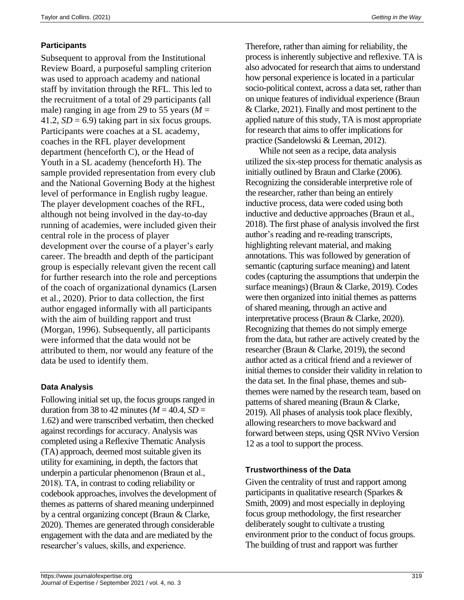# **Participants**

Subsequent to approval from the Institutional Review Board, a purposeful sampling criterion was used to approach academy and national staff by invitation through the RFL. This led to the recruitment of a total of 29 participants (all male) ranging in age from 29 to 55 years ( $M =$ 41.2,  $SD = 6.9$ ) taking part in six focus groups. Participants were coaches at a SL academy, coaches in the RFL player development department (henceforth C), or the Head of Youth in a SL academy (henceforth H). The sample provided representation from every club and the National Governing Body at the highest level of performance in English rugby league. The player development coaches of the RFL, although not being involved in the day-to-day running of academies, were included given their central role in the process of player development over the course of a player's early career. The breadth and depth of the participant group is especially relevant given the recent call for further research into the role and perceptions of the coach of organizational dynamics (Larsen et al., 2020). Prior to data collection, the first author engaged informally with all participants with the aim of building rapport and trust (Morgan, 1996). Subsequently, all participants were informed that the data would not be attributed to them, nor would any feature of the data be used to identify them.

## **Data Analysis**

Following initial set up, the focus groups ranged in duration from 38 to 42 minutes ( $M = 40.4$ ,  $SD =$ 1.62) and were transcribed verbatim, then checked against recordings for accuracy. Analysis was completed using a Reflexive Thematic Analysis (TA) approach, deemed most suitable given its utility for examining, in depth, the factors that underpin a particular phenomenon (Braun et al., 2018). TA, in contrast to coding reliability or codebook approaches, involves the development of themes as patterns of shared meaning underpinned by a central organizing concept (Braun & Clarke, 2020). Themes are generated through considerable engagement with the data and are mediated by the researcher's values, skills, and experience.

Therefore, rather than aiming for reliability, the process is inherently subjective and reflexive. TA is also advocated for research that aims to understand how personal experience is located in a particular socio-political context, across a data set, rather than on unique features of individual experience (Braun & Clarke, 2021). Finally and most pertinent to the applied nature of this study, TA is most appropriate for research that aims to offer implications for practice (Sandelowski & Leeman, 2012).

While not seen as a recipe, data analysis utilized the six-step process for thematic analysis as initially outlined by Braun and Clarke (2006). Recognizing the considerable interpretive role of the researcher, rather than being an entirely inductive process, data were coded using both inductive and deductive approaches (Braun et al., 2018). The first phase of analysis involved the first author's reading and re-reading transcripts, highlighting relevant material, and making annotations. This was followed by generation of semantic (capturing surface meaning) and latent codes (capturing the assumptions that underpin the surface meanings) (Braun & Clarke, 2019). Codes were then organized into initial themes as patterns of shared meaning, through an active and interpretative process (Braun & Clarke, 2020). Recognizing that themes do not simply emerge from the data, but rather are actively created by the researcher (Braun & Clarke, 2019), the second author acted as a critical friend and a reviewer of initial themes to consider their validity in relation to the data set. In the final phase, themes and subthemes were named by the research team, based on patterns of shared meaning (Braun & Clarke, 2019). All phases of analysis took place flexibly, allowing researchers to move backward and forward between steps, using QSR NVivo Version 12 as a tool to support the process.

### **Trustworthiness of the Data**

Given the centrality of trust and rapport among participants in qualitative research (Sparkes & Smith, 2009) and most especially in deploying focus group methodology, the first researcher deliberately sought to cultivate a trusting environment prior to the conduct of focus groups. The building of trust and rapport was further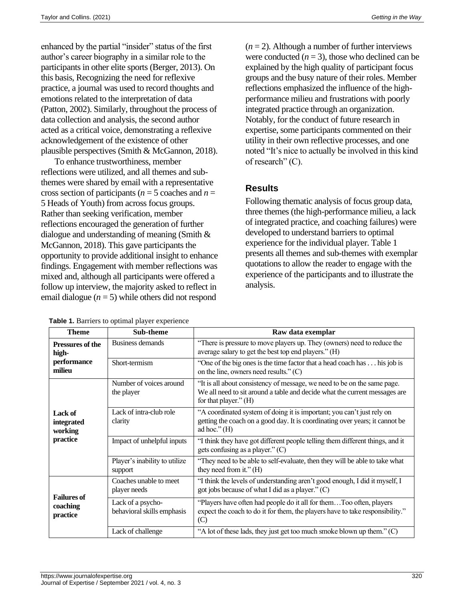enhanced by the partial "insider" status of the first author's career biography in a similar role to the participants in other elite sports (Berger, 2013). On this basis, Recognizing the need for reflexive practice, a journal was used to record thoughts and emotions related to the interpretation of data (Patton, 2002). Similarly, throughout the process of data collection and analysis, the second author acted as a critical voice, demonstrating a reflexive acknowledgement of the existence of other plausible perspectives (Smith & McGannon, 2018).

To enhance trustworthiness, member reflections were utilized, and all themes and subthemes were shared by email with a representative cross section of participants ( $n = 5$  coaches and  $n =$ 5 Heads of Youth) from across focus groups. Rather than seeking verification, member reflections encouraged the generation of further dialogue and understanding of meaning (Smith & McGannon, 2018). This gave participants the opportunity to provide additional insight to enhance findings. Engagement with member reflections was mixed and, although all participants were offered a follow up interview, the majority asked to reflect in email dialogue  $(n = 5)$  while others did not respond

**Table 1.** Barriers to optimal player experience

 $(n = 2)$ . Although a number of further interviews were conducted  $(n = 3)$ , those who declined can be explained by the high quality of participant focus groups and the busy nature of their roles. Member reflections emphasized the influence of the highperformance milieu and frustrations with poorly integrated practice through an organization. Notably, for the conduct of future research in expertise, some participants commented on their utility in their own reflective processes, and one noted "It's nice to actually be involved in this kind of research" (C).

## **Results**

Following thematic analysis of focus group data, three themes (the high-performance milieu, a lack of integrated practice, and coaching failures) were developed to understand barriers to optimal experience for the individual player. Table 1 presents all themes and sub-themes with exemplar quotations to allow the reader to engage with the experience of the participants and to illustrate the analysis.

| <b>Theme</b>                                        | <b>Sub-theme</b>                                | Raw data exemplar                                                                                                                                                                 |
|-----------------------------------------------------|-------------------------------------------------|-----------------------------------------------------------------------------------------------------------------------------------------------------------------------------------|
| Pressures of the<br>high-<br>performance<br>milieu  | Business demands                                | "There is pressure to move players up. They (owners) need to reduce the<br>average salary to get the best top end players." (H)                                                   |
|                                                     | Short-termism                                   | "One of the big ones is the time factor that a head coach has his job is<br>on the line, owners need results." $(C)$                                                              |
| <b>Lack of</b><br>integrated<br>working<br>practice | Number of voices around<br>the player           | "It is all about consistency of message, we need to be on the same page.<br>We all need to sit around a table and decide what the current messages are<br>for that player." $(H)$ |
|                                                     | Lack of intra-club role<br>clarity              | "A coordinated system of doing it is important; you can't just rely on<br>getting the coach on a good day. It is coordinating over years; it cannot be<br>ad hoc." $(H)$          |
|                                                     | Impact of unhelpful inputs                      | "I think they have got different people telling them different things, and it<br>gets confusing as a player." $(C)$                                                               |
|                                                     | Player's inability to utilize<br>support        | "They need to be able to self-evaluate, then they will be able to take what<br>they need from it." $(H)$                                                                          |
| <b>Failures of</b><br>coaching<br>practice          | Coaches unable to meet<br>player needs          | "I think the levels of understanding aren't good enough, I did it myself, I<br>got jobs because of what I did as a player." $(C)$                                                 |
|                                                     | Lack of a psycho-<br>behavioral skills emphasis | "Players have often had people do it all for themToo often, players<br>expect the coach to do it for them, the players have to take responsibility."<br>(C)                       |
|                                                     | Lack of challenge                               | "A lot of these lads, they just get too much smoke blown up them." (C)                                                                                                            |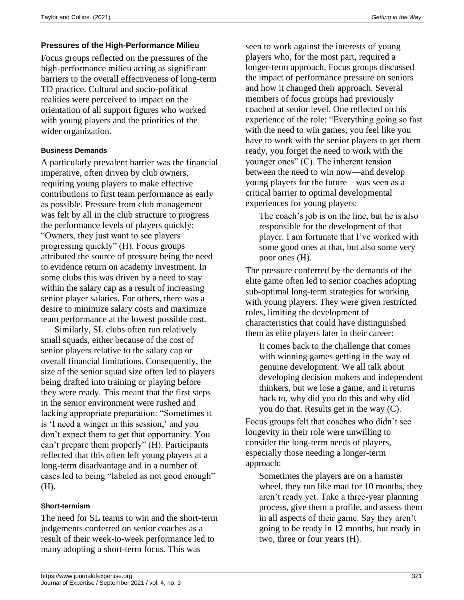## **Pressures of the High-Performance Milieu**

Focus groups reflected on the pressures of the high-performance milieu acting as significant barriers to the overall effectiveness of long-term TD practice. Cultural and socio-political realities were perceived to impact on the orientation of all support figures who worked with young players and the priorities of the wider organization.

#### **Business Demands**

A particularly prevalent barrier was the financial imperative, often driven by club owners, requiring young players to make effective contributions to first team performance as early as possible. Pressure from club management was felt by all in the club structure to progress the performance levels of players quickly: "Owners, they just want to see players progressing quickly" (H). Focus groups attributed the source of pressure being the need to evidence return on academy investment. In some clubs this was driven by a need to stay within the salary cap as a result of increasing senior player salaries. For others, there was a desire to minimize salary costs and maximize team performance at the lowest possible cost.

Similarly, SL clubs often run relatively small squads, either because of the cost of senior players relative to the salary cap or overall financial limitations. Consequently, the size of the senior squad size often led to players being drafted into training or playing before they were ready. This meant that the first steps in the senior environment were rushed and lacking appropriate preparation: "Sometimes it is 'I need a winger in this session,' and you don't expect them to get that opportunity. You can't prepare them properly" (H). Participants reflected that this often left young players at a long-term disadvantage and in a number of cases led to being "labeled as not good enough" (H).

### **Short-termism**

The need for SL teams to win and the short-term judgements conferred on senior coaches as a result of their week-to-week performance led to many adopting a short-term focus. This was

seen to work against the interests of young players who, for the most part, required a longer-term approach. Focus groups discussed the impact of performance pressure on seniors and how it changed their approach. Several members of focus groups had previously coached at senior level. One reflected on his experience of the role: "Everything going so fast with the need to win games, you feel like you have to work with the senior players to get them ready, you forget the need to work with the younger ones" (C). The inherent tension between the need to win now—and develop young players for the future—was seen as a critical barrier to optimal developmental experiences for young players:

The coach's job is on the line, but he is also responsible for the development of that player. I am fortunate that I've worked with some good ones at that, but also some very poor ones (H).

The pressure conferred by the demands of the elite game often led to senior coaches adopting sub-optimal long-term strategies for working with young players. They were given restricted roles, limiting the development of characteristics that could have distinguished them as elite players later in their career:

It comes back to the challenge that comes with winning games getting in the way of genuine development. We all talk about developing decision makers and independent thinkers, but we lose a game, and it returns back to, why did you do this and why did you do that. Results get in the way (C).

Focus groups felt that coaches who didn't see longevity in their role were unwilling to consider the long-term needs of players, especially those needing a longer-term approach:

Sometimes the players are on a hamster wheel, they run like mad for 10 months, they aren't ready yet. Take a three-year planning process, give them a profile, and assess them in all aspects of their game. Say they aren't going to be ready in 12 months, but ready in two, three or four years (H).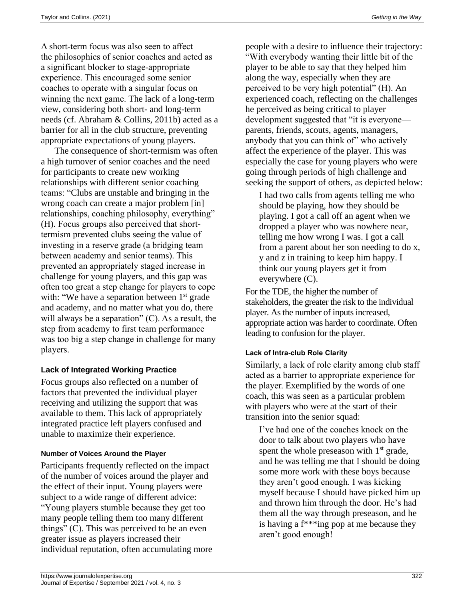A short-term focus was also seen to affect the philosophies of senior coaches and acted as a significant blocker to stage-appropriate experience. This encouraged some senior coaches to operate with a singular focus on winning the next game. The lack of a long-term view, considering both short- and long-term needs (cf. Abraham & Collins, 2011b) acted as a barrier for all in the club structure, preventing appropriate expectations of young players.

The consequence of short-termism was often a high turnover of senior coaches and the need for participants to create new working relationships with different senior coaching teams: "Clubs are unstable and bringing in the wrong coach can create a major problem [in] relationships, coaching philosophy, everything" (H). Focus groups also perceived that shorttermism prevented clubs seeing the value of investing in a reserve grade (a bridging team between academy and senior teams). This prevented an appropriately staged increase in challenge for young players, and this gap was often too great a step change for players to cope with: "We have a separation between 1<sup>st</sup> grade and academy, and no matter what you do, there will always be a separation"  $(C)$ . As a result, the step from academy to first team performance was too big a step change in challenge for many players.

## **Lack of Integrated Working Practice**

Focus groups also reflected on a number of factors that prevented the individual player receiving and utilizing the support that was available to them. This lack of appropriately integrated practice left players confused and unable to maximize their experience.

## **Number of Voices Around the Player**

Participants frequently reflected on the impact of the number of voices around the player and the effect of their input. Young players were subject to a wide range of different advice: "Young players stumble because they get too many people telling them too many different things" (C). This was perceived to be an even greater issue as players increased their individual reputation, often accumulating more people with a desire to influence their trajectory: "With everybody wanting their little bit of the player to be able to say that they helped him along the way, especially when they are perceived to be very high potential" (H). An experienced coach, reflecting on the challenges he perceived as being critical to player development suggested that "it is everyone parents, friends, scouts, agents, managers, anybody that you can think of" who actively affect the experience of the player. This was especially the case for young players who were going through periods of high challenge and seeking the support of others, as depicted below:

I had two calls from agents telling me who should be playing, how they should be playing. I got a call off an agent when we dropped a player who was nowhere near, telling me how wrong I was. I got a call from a parent about her son needing to do x, y and z in training to keep him happy. I think our young players get it from everywhere (C).

For the TDE, the higher the number of stakeholders, the greater the risk to the individual player. As the number of inputs increased, appropriate action was harder to coordinate. Often leading to confusion for the player.

## **Lack of Intra-club Role Clarity**

Similarly, a lack of role clarity among club staff acted as a barrier to appropriate experience for the player. Exemplified by the words of one coach, this was seen as a particular problem with players who were at the start of their transition into the senior squad:

I've had one of the coaches knock on the door to talk about two players who have spent the whole preseason with  $1<sup>st</sup>$  grade, and he was telling me that I should be doing some more work with these boys because they aren't good enough. I was kicking myself because I should have picked him up and thrown him through the door. He's had them all the way through preseason, and he is having a f\*\*\*ing pop at me because they aren't good enough!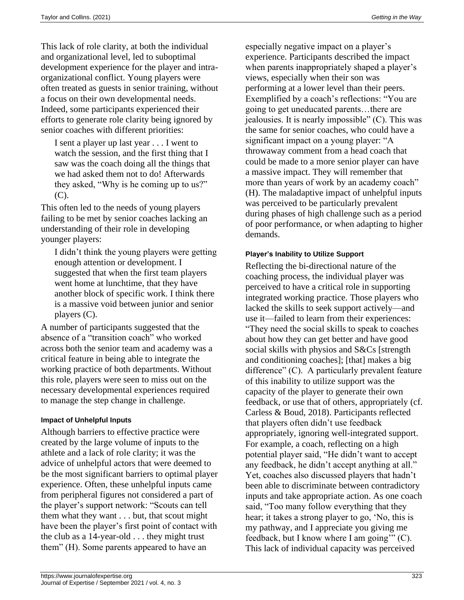This lack of role clarity, at both the individual and organizational level, led to suboptimal development experience for the player and intraorganizational conflict. Young players were often treated as guests in senior training, without a focus on their own developmental needs. Indeed, some participants experienced their efforts to generate role clarity being ignored by senior coaches with different priorities:

I sent a player up last year . . . I went to watch the session, and the first thing that I saw was the coach doing all the things that we had asked them not to do! Afterwards they asked, "Why is he coming up to us?" (C).

This often led to the needs of young players failing to be met by senior coaches lacking an understanding of their role in developing younger players:

I didn't think the young players were getting enough attention or development. I suggested that when the first team players went home at lunchtime, that they have another block of specific work. I think there is a massive void between junior and senior players (C).

A number of participants suggested that the absence of a "transition coach" who worked across both the senior team and academy was a critical feature in being able to integrate the working practice of both departments. Without this role, players were seen to miss out on the necessary developmental experiences required to manage the step change in challenge.

#### **Impact of Unhelpful Inputs**

Although barriers to effective practice were created by the large volume of inputs to the athlete and a lack of role clarity; it was the advice of unhelpful actors that were deemed to be the most significant barriers to optimal player experience. Often, these unhelpful inputs came from peripheral figures not considered a part of the player's support network: "Scouts can tell them what they want . . . but, that scout might have been the player's first point of contact with the club as a 14-year-old . . . they might trust them" (H). Some parents appeared to have an

especially negative impact on a player's experience. Participants described the impact when parents inappropriately shaped a player's views, especially when their son was performing at a lower level than their peers. Exemplified by a coach's reflections: "You are going to get uneducated parents…there are jealousies. It is nearly impossible" (C). This was the same for senior coaches, who could have a significant impact on a young player: "A throwaway comment from a head coach that could be made to a more senior player can have a massive impact. They will remember that more than years of work by an academy coach" (H). The maladaptive impact of unhelpful inputs was perceived to be particularly prevalent during phases of high challenge such as a period of poor performance, or when adapting to higher demands.

#### **Player's Inability to Utilize Support**

Reflecting the bi-directional nature of the coaching process, the individual player was perceived to have a critical role in supporting integrated working practice. Those players who lacked the skills to seek support actively—and use it—failed to learn from their experiences: "They need the social skills to speak to coaches about how they can get better and have good social skills with physios and S&Cs [strength and conditioning coaches]; [that] makes a big difference" (C). A particularly prevalent feature of this inability to utilize support was the capacity of the player to generate their own feedback, or use that of others, appropriately (cf. Carless & Boud, 2018). Participants reflected that players often didn't use feedback appropriately, ignoring well-integrated support. For example, a coach, reflecting on a high potential player said, "He didn't want to accept any feedback, he didn't accept anything at all." Yet, coaches also discussed players that hadn't been able to discriminate between contradictory inputs and take appropriate action. As one coach said, "Too many follow everything that they hear; it takes a strong player to go, 'No, this is my pathway, and I appreciate you giving me feedback, but I know where I am going'" (C). This lack of individual capacity was perceived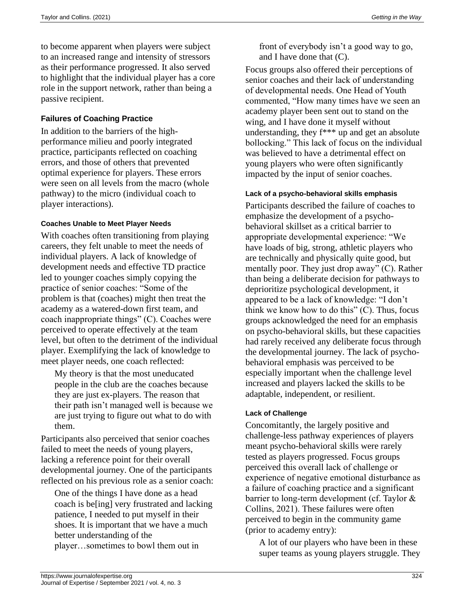to become apparent when players were subject to an increased range and intensity of stressors as their performance progressed. It also served to highlight that the individual player has a core role in the support network, rather than being a passive recipient.

## **Failures of Coaching Practice**

In addition to the barriers of the highperformance milieu and poorly integrated practice, participants reflected on coaching errors, and those of others that prevented optimal experience for players. These errors were seen on all levels from the macro (whole pathway) to the micro (individual coach to player interactions).

### **Coaches Unable to Meet Player Needs**

With coaches often transitioning from playing careers, they felt unable to meet the needs of individual players. A lack of knowledge of development needs and effective TD practice led to younger coaches simply copying the practice of senior coaches: "Some of the problem is that (coaches) might then treat the academy as a watered-down first team, and coach inappropriate things" (C). Coaches were perceived to operate effectively at the team level, but often to the detriment of the individual player. Exemplifying the lack of knowledge to meet player needs, one coach reflected:

My theory is that the most uneducated people in the club are the coaches because they are just ex-players. The reason that their path isn't managed well is because we are just trying to figure out what to do with them.

Participants also perceived that senior coaches failed to meet the needs of young players, lacking a reference point for their overall developmental journey. One of the participants reflected on his previous role as a senior coach:

One of the things I have done as a head coach is be[ing] very frustrated and lacking patience, I needed to put myself in their shoes. It is important that we have a much better understanding of the player…sometimes to bowl them out in

front of everybody isn't a good way to go, and I have done that (C).

Focus groups also offered their perceptions of senior coaches and their lack of understanding of developmental needs. One Head of Youth commented, "How many times have we seen an academy player been sent out to stand on the wing, and I have done it myself without understanding, they f\*\*\* up and get an absolute bollocking." This lack of focus on the individual was believed to have a detrimental effect on young players who were often significantly impacted by the input of senior coaches.

### **Lack of a psycho-behavioral skills emphasis**

Participants described the failure of coaches to emphasize the development of a psychobehavioral skillset as a critical barrier to appropriate developmental experience: "We have loads of big, strong, athletic players who are technically and physically quite good, but mentally poor. They just drop away" (C). Rather than being a deliberate decision for pathways to deprioritize psychological development, it appeared to be a lack of knowledge: "I don't think we know how to do this"  $(C)$ . Thus, focus groups acknowledged the need for an emphasis on psycho-behavioral skills, but these capacities had rarely received any deliberate focus through the developmental journey. The lack of psychobehavioral emphasis was perceived to be especially important when the challenge level increased and players lacked the skills to be adaptable, independent, or resilient.

### **Lack of Challenge**

Concomitantly, the largely positive and challenge-less pathway experiences of players meant psycho-behavioral skills were rarely tested as players progressed. Focus groups perceived this overall lack of challenge or experience of negative emotional disturbance as a failure of coaching practice and a significant barrier to long-term development (cf. Taylor & Collins, 2021). These failures were often perceived to begin in the community game (prior to academy entry):

A lot of our players who have been in these super teams as young players struggle. They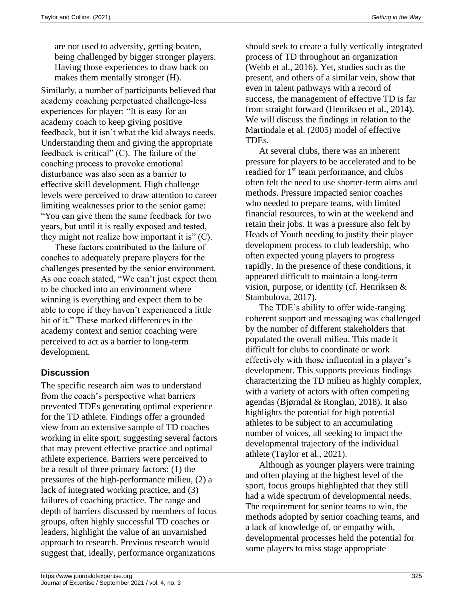are not used to adversity, getting beaten, being challenged by bigger stronger players. Having those experiences to draw back on makes them mentally stronger (H).

Similarly, a number of participants believed that academy coaching perpetuated challenge-less experiences for player: "It is easy for an academy coach to keep giving positive feedback, but it isn't what the kid always needs. Understanding them and giving the appropriate feedback is critical" (C). The failure of the coaching process to provoke emotional disturbance was also seen as a barrier to effective skill development. High challenge levels were perceived to draw attention to career limiting weaknesses prior to the senior game: "You can give them the same feedback for two years, but until it is really exposed and tested, they might not realize how important it is"  $(C)$ .

These factors contributed to the failure of coaches to adequately prepare players for the challenges presented by the senior environment. As one coach stated, "We can't just expect them to be chucked into an environment where winning is everything and expect them to be able to cope if they haven't experienced a little bit of it." These marked differences in the academy context and senior coaching were perceived to act as a barrier to long-term development.

# **Discussion**

The specific research aim was to understand from the coach's perspective what barriers prevented TDEs generating optimal experience for the TD athlete. Findings offer a grounded view from an extensive sample of TD coaches working in elite sport, suggesting several factors that may prevent effective practice and optimal athlete experience. Barriers were perceived to be a result of three primary factors: (1) the pressures of the high-performance milieu, (2) a lack of integrated working practice, and (3) failures of coaching practice. The range and depth of barriers discussed by members of focus groups, often highly successful TD coaches or leaders, highlight the value of an unvarnished approach to research. Previous research would suggest that, ideally, performance organizations

should seek to create a fully vertically integrated process of TD throughout an organization (Webb et al., 2016). Yet, studies such as the present, and others of a similar vein, show that even in talent pathways with a record of success, the management of effective TD is far from straight forward (Henriksen et al., 2014). We will discuss the findings in relation to the Martindale et al. (2005) model of effective TDEs.

At several clubs, there was an inherent pressure for players to be accelerated and to be readied for 1<sup>st</sup> team performance, and clubs often felt the need to use shorter-term aims and methods. Pressure impacted senior coaches who needed to prepare teams, with limited financial resources, to win at the weekend and retain their jobs. It was a pressure also felt by Heads of Youth needing to justify their player development process to club leadership, who often expected young players to progress rapidly. In the presence of these conditions, it appeared difficult to maintain a long-term vision, purpose, or identity (cf. Henriksen & Stambulova, 2017).

The TDE's ability to offer wide-ranging coherent support and messaging was challenged by the number of different stakeholders that populated the overall milieu. This made it difficult for clubs to coordinate or work effectively with those influential in a player's development. This supports previous findings characterizing the TD milieu as highly complex, with a variety of actors with often competing agendas (Bjørndal & Ronglan, 2018). It also highlights the potential for high potential athletes to be subject to an accumulating number of voices, all seeking to impact the developmental trajectory of the individual athlete (Taylor et al., 2021).

Although as younger players were training and often playing at the highest level of the sport, focus groups highlighted that they still had a wide spectrum of developmental needs. The requirement for senior teams to win, the methods adopted by senior coaching teams, and a lack of knowledge of, or empathy with, developmental processes held the potential for some players to miss stage appropriate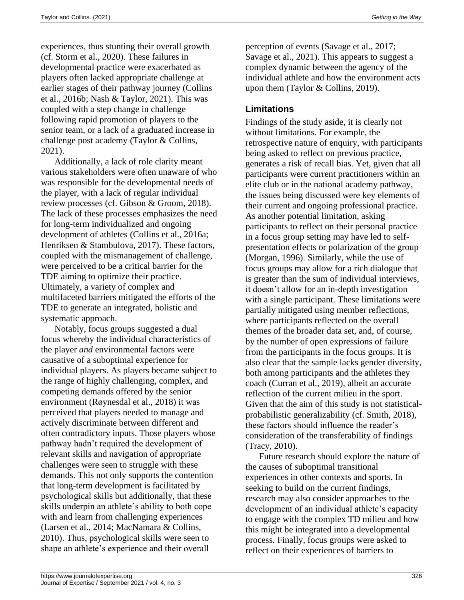experiences, thus stunting their overall growth (cf. Storm et al., 2020). These failures in developmental practice were exacerbated as players often lacked appropriate challenge at earlier stages of their pathway journey (Collins et al., 2016b; Nash & Taylor, 2021). This was coupled with a step change in challenge following rapid promotion of players to the senior team, or a lack of a graduated increase in challenge post academy (Taylor & Collins, 2021).

Additionally, a lack of role clarity meant various stakeholders were often unaware of who was responsible for the developmental needs of the player, with a lack of regular individual review processes (cf. Gibson & Groom, 2018). The lack of these processes emphasizes the need for long-term individualized and ongoing development of athletes (Collins et al., 2016a; Henriksen & Stambulova, 2017). These factors, coupled with the mismanagement of challenge, were perceived to be a critical barrier for the TDE aiming to optimize their practice. Ultimately, a variety of complex and multifaceted barriers mitigated the efforts of the TDE to generate an integrated, holistic and systematic approach.

Notably, focus groups suggested a dual focus whereby the individual characteristics of the player *and* environmental factors were causative of a suboptimal experience for individual players. As players became subject to the range of highly challenging, complex, and competing demands offered by the senior environment (Røynesdal et al., 2018) it was perceived that players needed to manage and actively discriminate between different and often contradictory inputs. Those players whose pathway hadn't required the development of relevant skills and navigation of appropriate challenges were seen to struggle with these demands. This not only supports the contention that long-term development is facilitated by psychological skills but additionally, that these skills underpin an athlete's ability to both cope with and learn from challenging experiences (Larsen et al., 2014; MacNamara & Collins, 2010). Thus, psychological skills were seen to shape an athlete's experience and their overall

perception of events (Savage et al., 2017; Savage et al., 2021). This appears to suggest a complex dynamic between the agency of the individual athlete and how the environment acts upon them (Taylor & Collins, 2019).

# **Limitations**

Findings of the study aside, it is clearly not without limitations. For example, the retrospective nature of enquiry, with participants being asked to reflect on previous practice, generates a risk of recall bias. Yet, given that all participants were current practitioners within an elite club or in the national academy pathway, the issues being discussed were key elements of their current and ongoing professional practice. As another potential limitation, asking participants to reflect on their personal practice in a focus group setting may have led to selfpresentation effects or polarization of the group (Morgan, 1996). Similarly, while the use of focus groups may allow for a rich dialogue that is greater than the sum of individual interviews, it doesn't allow for an in-depth investigation with a single participant. These limitations were partially mitigated using member reflections, where participants reflected on the overall themes of the broader data set, and, of course, by the number of open expressions of failure from the participants in the focus groups. It is also clear that the sample lacks gender diversity, both among participants and the athletes they coach (Curran et al., 2019), albeit an accurate reflection of the current milieu in the sport. Given that the aim of this study is not statisticalprobabilistic generalizability (cf. Smith, 2018), these factors should influence the reader's consideration of the transferability of findings (Tracy, 2010).

Future research should explore the nature of the causes of suboptimal transitional experiences in other contexts and sports. In seeking to build on the current findings, research may also consider approaches to the development of an individual athlete's capacity to engage with the complex TD milieu and how this might be integrated into a developmental process. Finally, focus groups were asked to reflect on their experiences of barriers to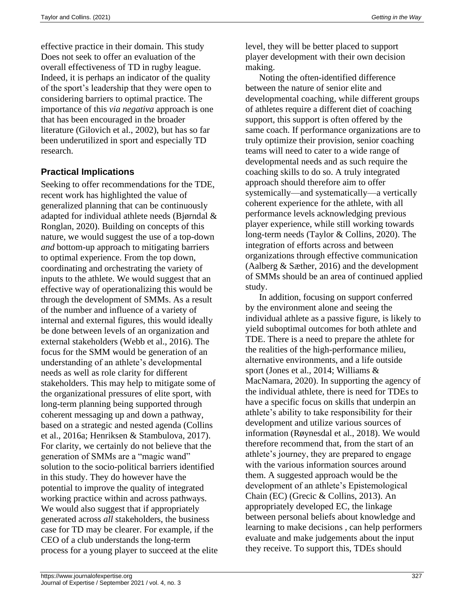effective practice in their domain. This study Does not seek to offer an evaluation of the overall effectiveness of TD in rugby league. Indeed, it is perhaps an indicator of the quality of the sport's leadership that they were open to considering barriers to optimal practice. The importance of this *via negativa* approach is one that has been encouraged in the broader literature (Gilovich et al., 2002), but has so far been underutilized in sport and especially TD research.

# **Practical Implications**

Seeking to offer recommendations for the TDE, recent work has highlighted the value of generalized planning that can be continuously adapted for individual athlete needs (Bjørndal & Ronglan, 2020). Building on concepts of this nature, we would suggest the use of a top-down *and* bottom-up approach to mitigating barriers to optimal experience. From the top down, coordinating and orchestrating the variety of inputs to the athlete. We would suggest that an effective way of operationalizing this would be through the development of SMMs. As a result of the number and influence of a variety of internal and external figures, this would ideally be done between levels of an organization and external stakeholders (Webb et al., 2016). The focus for the SMM would be generation of an understanding of an athlete's developmental needs as well as role clarity for different stakeholders. This may help to mitigate some of the organizational pressures of elite sport, with long-term planning being supported through coherent messaging up and down a pathway, based on a strategic and nested agenda (Collins et al., 2016a; Henriksen & Stambulova, 2017). For clarity, we certainly do not believe that the generation of SMMs are a "magic wand" solution to the socio-political barriers identified in this study. They do however have the potential to improve the quality of integrated working practice within and across pathways. We would also suggest that if appropriately generated across *all* stakeholders, the business case for TD may be clearer. For example, if the CEO of a club understands the long-term process for a young player to succeed at the elite

level, they will be better placed to support player development with their own decision making.

Noting the often-identified difference between the nature of senior elite and developmental coaching, while different groups of athletes require a different diet of coaching support, this support is often offered by the same coach. If performance organizations are to truly optimize their provision, senior coaching teams will need to cater to a wide range of developmental needs and as such require the coaching skills to do so. A truly integrated approach should therefore aim to offer systemically—and systematically—a vertically coherent experience for the athlete, with all performance levels acknowledging previous player experience, while still working towards long-term needs (Taylor & Collins, 2020). The integration of efforts across and between organizations through effective communication (Aalberg & Sæther, 2016) and the development of SMMs should be an area of continued applied study.

In addition, focusing on support conferred by the environment alone and seeing the individual athlete as a passive figure, is likely to yield suboptimal outcomes for both athlete and TDE. There is a need to prepare the athlete for the realities of the high-performance milieu, alternative environments, and a life outside sport (Jones et al., 2014; Williams & MacNamara, 2020). In supporting the agency of the individual athlete, there is need for TDEs to have a specific focus on skills that underpin an athlete's ability to take responsibility for their development and utilize various sources of information (Røynesdal et al., 2018). We would therefore recommend that, from the start of an athlete's journey, they are prepared to engage with the various information sources around them. A suggested approach would be the development of an athlete's Epistemological Chain (EC) (Grecic & Collins, 2013). An appropriately developed EC, the linkage between personal beliefs about knowledge and learning to make decisions , can help performers evaluate and make judgements about the input they receive. To support this, TDEs should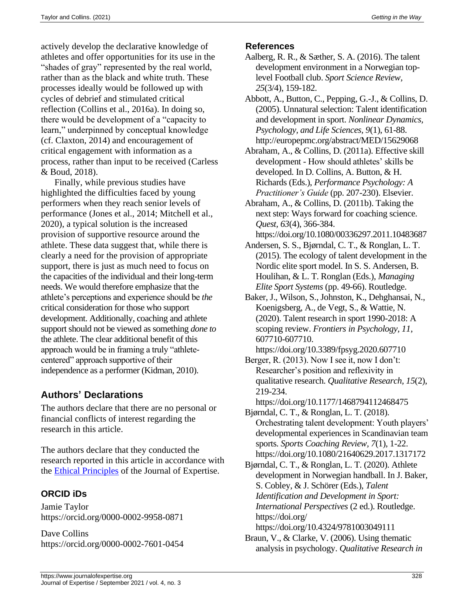actively develop the declarative knowledge of athletes and offer opportunities for its use in the "shades of gray" represented by the real world, rather than as the black and white truth. These processes ideally would be followed up with cycles of debrief and stimulated critical reflection (Collins et al., 2016a). In doing so, there would be development of a "capacity to learn," underpinned by conceptual knowledge (cf. Claxton, 2014) and encouragement of critical engagement with information as a process, rather than input to be received (Carless & Boud, 2018).

Finally, while previous studies have highlighted the difficulties faced by young performers when they reach senior levels of performance (Jones et al., 2014; Mitchell et al., 2020), a typical solution is the increased provision of supportive resource around the athlete. These data suggest that, while there is clearly a need for the provision of appropriate support, there is just as much need to focus on the capacities of the individual and their long-term needs. We would therefore emphasize that the athlete's perceptions and experience should be *the* critical consideration for those who support development. Additionally, coaching and athlete support should not be viewed as something *done to* the athlete. The clear additional benefit of this approach would be in framing a truly "athletecentered" approach supportive of their independence as a performer (Kidman, 2010).

# **Authors' Declarations**

The authors declare that there are no personal or financial conflicts of interest regarding the research in this article.

The authors declare that they conducted the research reported in this article in accordance with the [Ethical Principles](https://www.journalofexpertise.org/manuscript_submission.html) of the Journal of Expertise.

# **ORCID iDs**

Jamie Taylor https://orcid.org/0000-0002-9958-0871

Dave Collins https://orcid.org/0000-0002-7601-0454

### **References**

- Aalberg, R. R., & Sæther, S. A. (2016). The talent development environment in a Norwegian toplevel Football club. *Sport Science Review, 25*(3/4), 159-182.
- Abbott, A., Button, C., Pepping, G.-J., & Collins, D. (2005). Unnatural selection: Talent identification and development in sport. *Nonlinear Dynamics, Psychology, and Life Sciences, 9*(1), 61-88. http://europepmc.org/abstract/MED/15629068
- Abraham, A., & Collins, D. (2011a). Effective skill development - How should athletes' skills be developed. In D. Collins, A. Button, & H. Richards (Eds.), *Performance Psychology: A Practitioner's Guide* (pp. 207-230). Elsevier.
- Abraham, A., & Collins, D. (2011b). Taking the next step: Ways forward for coaching science. *Quest, 63*(4), 366-384.

https://doi.org/10.1080/00336297.2011.10483687

- Andersen, S. S., Bjørndal, C. T., & Ronglan, L. T. (2015). The ecology of talent development in the Nordic elite sport model. In S. S. Andersen, B. Houlihan, & L. T. Ronglan (Eds.), *Managing Elite Sport Systems* (pp. 49-66). Routledge.
- Baker, J., Wilson, S., Johnston, K., Dehghansai, N., Koenigsberg, A., de Vegt, S., & Wattie, N. (2020). Talent research in sport 1990-2018: A scoping review. *Frontiers in Psychology, 11*, 607710-607710.
- https://doi.org/10.3389/fpsyg.2020.607710 Berger, R. (2013). Now I see it, now I don't:
- Researcher's position and reflexivity in qualitative research. *Qualitative Research, 15*(2), 219-234.

https://doi.org/10.1177/1468794112468475

- Bjørndal, C. T., & Ronglan, L. T. (2018). Orchestrating talent development: Youth players' developmental experiences in Scandinavian team sports. *Sports Coaching Review, 7*(1), 1-22. https://doi.org/10.1080/21640629.2017.1317172
- Bjørndal, C. T., & Ronglan, L. T. (2020). Athlete development in Norwegian handball. In J. Baker, S. Cobley, & J. Schörer (Eds.), *Talent Identification and Development in Sport: International Perspectives* (2 ed.). Routledge. https://doi.org/

https://doi.org/10.4324/9781003049111

Braun, V., & Clarke, V. (2006). Using thematic analysis in psychology. *Qualitative Research in*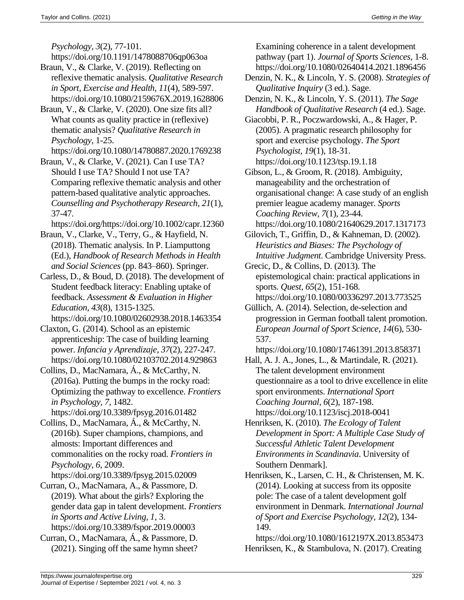*Psychology, 3*(2), 77-101.

https://doi.org/10.1191/1478088706qp063oa

- Braun, V., & Clarke, V. (2019). Reflecting on reflexive thematic analysis. *Qualitative Research in Sport, Exercise and Health, 11*(4), 589-597. https://doi.org/10.1080/2159676X.2019.1628806
- Braun, V., & Clarke, V. (2020). One size fits all? What counts as quality practice in (reflexive) thematic analysis? *Qualitative Research in Psychology*, 1-25.
- https://doi.org/10.1080/14780887.2020.1769238 Braun, V., & Clarke, V. (2021). Can I use TA?
- Should I use TA? Should I not use TA? Comparing reflexive thematic analysis and other pattern-based qualitative analytic approaches. *Counselling and Psychotherapy Research, 21*(1), 37-47.
- https://doi.org/https://doi.org/10.1002/capr.12360
- Braun, V., Clarke, V., Terry, G., & Hayfield, N. (2018). Thematic analysis. In P. Liamputtong (Ed.), *Handbook of Research Methods in Health and Social Sciences* (pp. 843–860). Springer.

Carless, D., & Boud, D. (2018). The development of Student feedback literacy: Enabling uptake of feedback. *Assessment & Evaluation in Higher Education, 43*(8), 1315-1325. https://doi.org/10.1080/02602938.2018.1463354

Claxton, G. (2014). School as an epistemic apprenticeship: The case of building learning power. *Infancia y Aprendizaje, 37*(2), 227-247. https://doi.org/10.1080/02103702.2014.929863

Collins, D., MacNamara, Á., & McCarthy, N. (2016a). Putting the bumps in the rocky road: Optimizing the pathway to excellence. *Frontiers in Psychology, 7*, 1482.

https://doi.org/10.3389/fpsyg.2016.01482

- Collins, D., MacNamara, Á., & McCarthy, N. (2016b). Super champions, champions, and almosts: Important differences and commonalities on the rocky road. *Frontiers in Psychology, 6*, 2009.
- https://doi.org/10.3389/fpsyg.2015.02009
- Curran, O., MacNamara, A., & Passmore, D. (2019). What about the girls? Exploring the gender data gap in talent development. *Frontiers in Sports and Active Living, 1*, 3. https://doi.org/10.3389/fspor.2019.00003
- Curran, O., MacNamara, Á., & Passmore, D. (2021). Singing off the same hymn sheet?

Examining coherence in a talent development pathway (part 1). *Journal of Sports Sciences*, 1-8. https://doi.org/10.1080/02640414.2021.1896456

- Denzin, N. K., & Lincoln, Y. S. (2008). *Strategies of Qualitative Inquiry* (3 ed.). Sage.
- Denzin, N. K., & Lincoln, Y. S. (2011). *The Sage Handbook of Qualitative Research* (4 ed.). Sage.
- Giacobbi, P. R., Poczwardowski, A., & Hager, P. (2005). A pragmatic research philosophy for sport and exercise psychology. *The Sport Psychologist, 19*(1), 18-31. https://doi.org/10.1123/tsp.19.1.18

Gibson, L., & Groom, R. (2018). Ambiguity, manageability and the orchestration of organisational change: A case study of an english premier league academy manager. *Sports Coaching Review, 7*(1), 23-44.

- https://doi.org/10.1080/21640629.2017.1317173 Gilovich, T., Griffin, D., & Kahneman, D. (2002). *Heuristics and Biases: The Psychology of Intuitive Judgment*. Cambridge University Press.
- Grecic, D., & Collins, D. (2013). The epistemological chain: practical applications in sports. *Quest, 65*(2), 151-168. https://doi.org/10.1080/00336297.2013.773525
- Güllich, A. (2014). Selection, de-selection and progression in German football talent promotion. *European Journal of Sport Science, 14*(6), 530- 537.
	- https://doi.org/10.1080/17461391.2013.858371
- Hall, A. J. A., Jones, L., & Martindale, R. (2021). The talent development environment questionnaire as a tool to drive excellence in elite sport environments. *International Sport Coaching Journal, 6*(2), 187-198. https://doi.org/10.1123/iscj.2018-0041
- Henriksen, K. (2010). *The Ecology of Talent Development in Sport: A Multiple Case Study of Successful Athletic Talent Development Environments in Scandinavia*. University of Southern Denmark].
- Henriksen, K., Larsen, C. H., & Christensen, M. K. (2014). Looking at success from its opposite pole: The case of a talent development golf environment in Denmark. *International Journal of Sport and Exercise Psychology, 12*(2), 134- 149.

https://doi.org/10.1080/1612197X.2013.853473 Henriksen, K., & Stambulova, N. (2017). Creating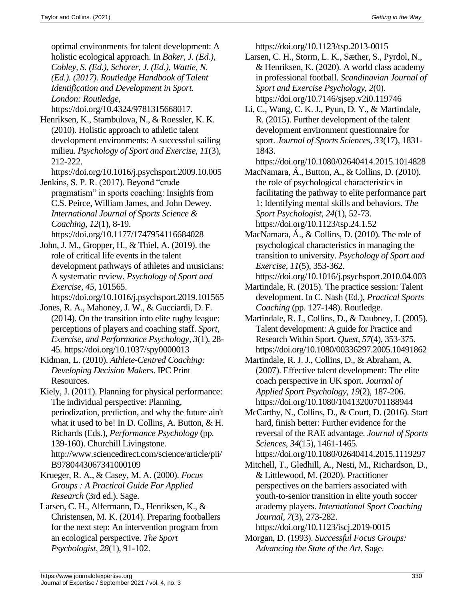optimal environments for talent development: A holistic ecological approach. In *Baker, J. (Ed.), Cobley, S. (Ed.), Schorer, J. (Ed.), Wattie, N. (Ed.). (2017). Routledge Handbook of Talent Identification and Development in Sport. London: Routledge,*  https://doi.org/10.4324/9781315668017.

Henriksen, K., Stambulova, N., & Roessler, K. K. (2010). Holistic approach to athletic talent development environments: A successful sailing milieu. *Psychology of Sport and Exercise, 11*(3), 212-222.

https://doi.org/10.1016/j.psychsport.2009.10.005 Jenkins, S. P. R. (2017). Beyond "crude

pragmatism" in sports coaching: Insights from C.S. Peirce, William James, and John Dewey. *International Journal of Sports Science & Coaching, 12*(1), 8-19. https://doi.org/10.1177/1747954116684028

John, J. M., Gropper, H., & Thiel, A. (2019). the role of critical life events in the talent development pathways of athletes and musicians: A systematic review. *Psychology of Sport and Exercise, 45*, 101565.

https://doi.org/10.1016/j.psychsport.2019.101565 Jones, R. A., Mahoney, J. W., & Gucciardi, D. F.

(2014). On the transition into elite rugby league: perceptions of players and coaching staff. *Sport, Exercise, and Performance Psychology, 3*(1), 28- 45. https://doi.org/10.1037/spy0000013

Kidman, L. (2010). *Athlete-Centred Coaching: Developing Decision Makers*. IPC Print Resources.

Kiely, J. (2011). Planning for physical performance: The individual perspective: Planning, periodization, prediction, and why the future ain't what it used to be! In D. Collins, A. Button, & H. Richards (Eds.), *Performance Psychology* (pp. 139-160). Churchill Livingstone. http://www.sciencedirect.com/science/article/pii/ B9780443067341000109

Krueger, R. A., & Casey, M. A. (2000). *Focus Groups : A Practical Guide For Applied Research* (3rd ed.). Sage.

Larsen, C. H., Alfermann, D., Henriksen, K., & Christensen, M. K. (2014). Preparing footballers for the next step: An intervention program from an ecological perspective. *The Sport Psychologist, 28*(1), 91-102.

https://doi.org/10.1123/tsp.2013-0015

- Larsen, C. H., Storm, L. K., Sæther, S., Pyrdol, N., & Henriksen, K. (2020). A world class academy in professional football. *Scandinavian Journal of Sport and Exercise Psychology, 2*(0). https://doi.org/10.7146/sjsep.v2i0.119746
- Li, C., Wang, C. K. J., Pyun, D. Y., & Martindale, R. (2015). Further development of the talent development environment questionnaire for sport. *Journal of Sports Sciences, 33*(17), 1831- 1843.

https://doi.org/10.1080/02640414.2015.1014828

MacNamara, Á., Button, A., & Collins, D. (2010). the role of psychological characteristics in facilitating the pathway to elite performance part 1: Identifying mental skills and behaviors. *The Sport Psychologist, 24*(1), 52-73. https://doi.org/10.1123/tsp.24.1.52

MacNamara, Á., & Collins, D. (2010). The role of psychological characteristics in managing the transition to university. *Psychology of Sport and Exercise, 11*(5), 353-362.

https://doi.org/10.1016/j.psychsport.2010.04.003

Martindale, R. (2015). The practice session: Talent development. In C. Nash (Ed.), *Practical Sports Coaching* (pp. 127-148). Routledge.

Martindale, R. J., Collins, D., & Daubney, J. (2005). Talent development: A guide for Practice and Research Within Sport. *Quest, 57*(4), 353-375. https://doi.org/10.1080/00336297.2005.10491862

- Martindale, R. J. J., Collins, D., & Abraham, A. (2007). Effective talent development: The elite coach perspective in UK sport. *Journal of Applied Sport Psychology, 19*(2), 187-206. https://doi.org/10.1080/10413200701188944
- McCarthy, N., Collins, D., & Court, D. (2016). Start hard, finish better: Further evidence for the reversal of the RAE advantage. *Journal of Sports Sciences, 34*(15), 1461-1465. https://doi.org/10.1080/02640414.2015.1119297
- Mitchell, T., Gledhill, A., Nesti, M., Richardson, D., & Littlewood, M. (2020). Practitioner perspectives on the barriers associated with youth-to-senior transition in elite youth soccer academy players. *International Sport Coaching Journal, 7*(3), 273-282.

https://doi.org/10.1123/iscj.2019-0015

Morgan, D. (1993). *Successful Focus Groups: Advancing the State of the Art*. Sage.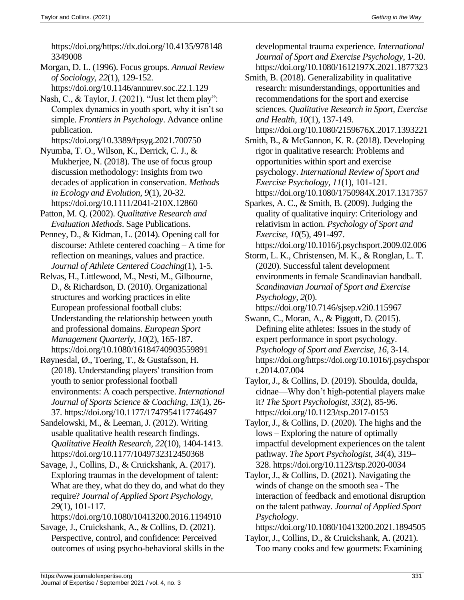https://doi.org/https://dx.doi.org/10.4135/978148 3349008

- Morgan, D. L. (1996). Focus groups. *Annual Review of Sociology, 22*(1), 129-152. https://doi.org/10.1146/annurev.soc.22.1.129
- Nash, C., & Taylor, J. (2021). "Just let them play": Complex dynamics in youth sport, why it isn't so simple. *Frontiers in Psychology*. Advance online publication.
- https://doi.org/10.3389/fpsyg.2021.700750 Nyumba, T. O., Wilson, K., Derrick, C. J., &
- Mukherjee, N. (2018). The use of focus group discussion methodology: Insights from two decades of application in conservation. *Methods in Ecology and Evolution, 9*(1), 20-32. https://doi.org/10.1111/2041-210X.12860
- Patton, M. Q. (2002). *Qualitative Research and Evaluation Methods*. Sage Publications.
- Penney, D., & Kidman, L. (2014). Opening call for discourse: Athlete centered coaching – A time for reflection on meanings, values and practice. *Journal of Athlete Centered Coaching*(1), 1-5.
- Relvas, H., Littlewood, M., Nesti, M., Gilbourne, D., & Richardson, D. (2010). Organizational structures and working practices in elite European professional football clubs: Understanding the relationship between youth and professional domains. *European Sport Management Quarterly, 10*(2), 165-187. https://doi.org/10.1080/16184740903559891
- Røynesdal, Ø., Toering, T., & Gustafsson, H. (2018). Understanding players' transition from youth to senior professional football environments: A coach perspective. *International Journal of Sports Science & Coaching, 13*(1), 26- 37. https://doi.org/10.1177/1747954117746497
- Sandelowski, M., & Leeman, J. (2012). Writing usable qualitative health research findings. *Qualitative Health Research, 22*(10), 1404-1413. https://doi.org/10.1177/1049732312450368
- Savage, J., Collins, D., & Cruickshank, A. (2017). Exploring traumas in the development of talent: What are they, what do they do, and what do they require? *Journal of Applied Sport Psychology, 29*(1), 101-117.

https://doi.org/10.1080/10413200.2016.1194910 Savage, J., Cruickshank, A., & Collins, D. (2021).

Perspective, control, and confidence: Perceived outcomes of using psycho-behavioral skills in the developmental trauma experience. *International Journal of Sport and Exercise Psychology*, 1-20. https://doi.org/10.1080/1612197X.2021.1877323

- Smith, B. (2018). Generalizability in qualitative research: misunderstandings, opportunities and recommendations for the sport and exercise sciences. *Qualitative Research in Sport, Exercise and Health, 10*(1), 137-149.
- https://doi.org/10.1080/2159676X.2017.1393221 Smith, B., & McGannon, K. R. (2018). Developing rigor in qualitative research: Problems and opportunities within sport and exercise psychology. *International Review of Sport and Exercise Psychology, 11*(1), 101-121. https://doi.org/10.1080/1750984X.2017.1317357
- Sparkes, A. C., & Smith, B. (2009). Judging the quality of qualitative inquiry: Criteriology and relativism in action. *Psychology of Sport and Exercise, 10*(5), 491-497.
	- https://doi.org/10.1016/j.psychsport.2009.02.006
- Storm, L. K., Christensen, M. K., & Ronglan, L. T. (2020). Successful talent development environments in female Scandinavian handball. *Scandinavian Journal of Sport and Exercise Psychology, 2*(0).

https://doi.org/10.7146/sjsep.v2i0.115967

- Swann, C., Moran, A., & Piggott, D. (2015). Defining elite athletes: Issues in the study of expert performance in sport psychology. *Psychology of Sport and Exercise, 16*, 3-14. https://doi.org/https://doi.org/10.1016/j.psychspor t.2014.07.004
- Taylor, J., & Collins, D. (2019). Shoulda, doulda, cidnae—Why don't high-potential players make it? *The Sport Psychologist, 33*(2), 85-96. https://doi.org/10.1123/tsp.2017-0153
- Taylor, J., & Collins, D. (2020). The highs and the lows – Exploring the nature of optimally impactful development experiences on the talent pathway. *The Sport Psychologist, 34*(4), 319– 328. https://doi.org/10.1123/tsp.2020-0034
- Taylor, J., & Collins, D. (2021). Navigating the winds of change on the smooth sea - The interaction of feedback and emotional disruption on the talent pathway. *Journal of Applied Sport Psychology*.

https://doi.org/10.1080/10413200.2021.1894505

Taylor, J., Collins, D., & Cruickshank, A. (2021). Too many cooks and few gourmets: Examining